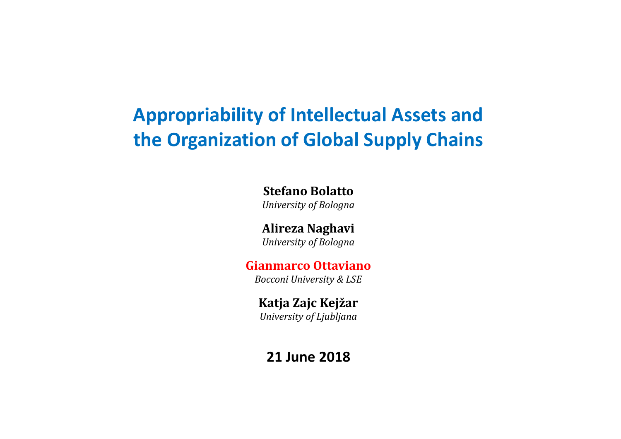# **Appropriability of Intellectual Assets and the Organization of Global Supply Chains**

**Stefano Bolatto** *University of Bologna*

**Alireza Naghavi** *University of Bologna*

#### **Gianmarco Ottaviano**

*Bocconi University & LSE*

#### **Katja Zajc Kejžar**

*University of Ljubljana*

#### **21 June 2018**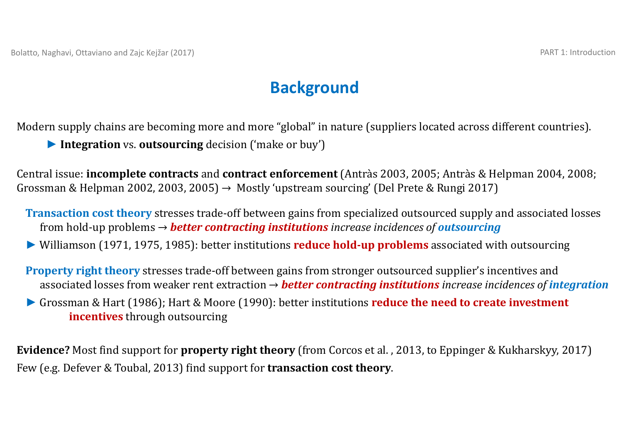### **Background**

Modern supply chains are becoming more and more "global" in nature (suppliers located across different countries).

*►* **Integration** vs. **outsourcing** decision ('make or buy')

Central issue: **incomplete contracts** and **contract enforcement** (Antràs 2003, 2005; Antràs & Helpman 2004, 2008; Grossman & Helpman 2002, 2003, 2005)  $\rightarrow$  Mostly 'upstream sourcing' (Del Prete & Rungi 2017)

**Transaction cost theory** stresses trade-off between gains from specialized outsourced supply and associated losses from hold-up problems  $\rightarrow$  *better contracting institutions* increase incidences of *outsourcing* 

▶ Williamson (1971, 1975, 1985): better institutions **reduce hold-up problems** associated with outsourcing

**Property right theory** stresses trade-off between gains from stronger outsourced supplier's incentives and associated losses from weaker rent extraction  $\rightarrow$  *better contracting institutions increase incidences of integration* 

*►* Grossman & Hart (1986); Hart & Moore (1990): better institutions **reduce the need to create investment incentives** through outsourcing

**Evidence?** Most find support for **property right theory** (from Corcos et al. , 2013, to Eppinger & Kukharskyy, 2017) Few (e.g. Defever & Toubal, 2013) find support for **transaction cost theory**.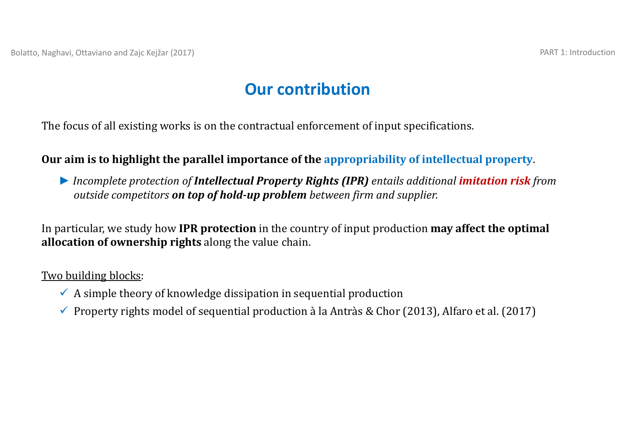### **Our contribution**

The focus of all existing works is on the contractual enforcement of input specifications.

#### **Our aim is to highlight the parallel importance of the appropriability of intellectual property**.

*► Incomplete protection of Intellectual Property Rights (IPR) entails additional imitation risk from outside competitors on top of hold‐up problem between firm and supplier.*

In particular, we study how **IPR** protection in the country of input production **may affect the optimal allocation of ownership rights** along the value chain.

#### Two building blocks:

- $\checkmark$  A simple theory of knowledge dissipation in sequential production
- Property rights model of sequential production à la Antràs & Chor (2013), Alfaro et al. (2017)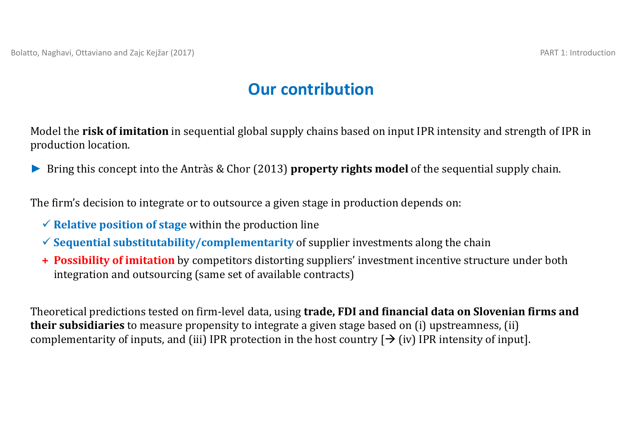### **Our contribution**

Model the **risk of imitation** in sequential global supply chains based on input IPR intensity and strength of IPR in production location.

▶ Bring this concept into the Antràs & Chor (2013) **property rights model** of the sequential supply chain.

The firm's decision to integrate or to outsource a given stage in production depends on:

- $\checkmark$  **Relative position of stage** within the production line
- $\checkmark$  Sequential substitutability/complementarity of supplier investments along the chain
- **+ Possibility of imitation** by competitors distorting suppliers' investment incentive structure under both integration and outsourcing (same set of available contracts)

Theoretical predictions tested on firm‐level data, using **trade, FDI and financial data on Slovenian firms and their subsidiaries** to measure propensity to integrate a given stage based on (i) upstreamness, (ii) complementarity of inputs, and (iii) IPR protection in the host country  $[\rightarrow$  (iv) IPR intensity of input].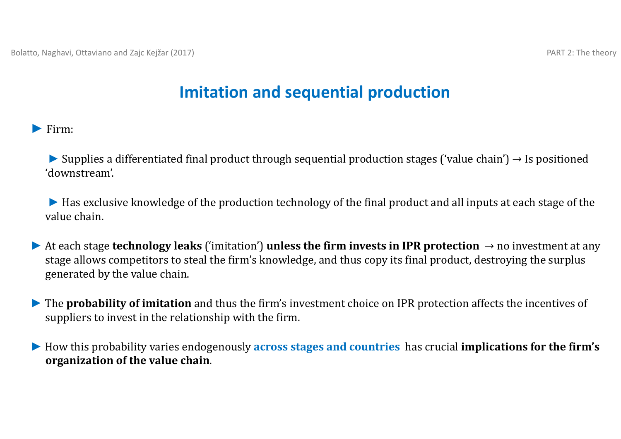### **Imitation and sequential production**

*►* Firm:

**►** Supplies a differentiated final product through sequential production stages ('value chain') → Is positioned 'downstream'.

► Has exclusive knowledge of the production technology of the final product and all inputs at each stage of the value chain.

- $\blacktriangleright$  At each stage **technology leaks** ('imitation') **unless the firm invests in IPR protection**  $\rightarrow$  no investment at any stage allows competitors to steal the firm's knowledge, and thus copy its final product, destroying the surplus generated by the value chain.
- ▶ The **probability of imitation** and thus the firm's investment choice on IPR protection affects the incentives of suppliers to invest in the relationship with the firm.
- *►* How this probability varies endogenously **across stages and countries** has crucial **implications for the firm's organization of the value chain**.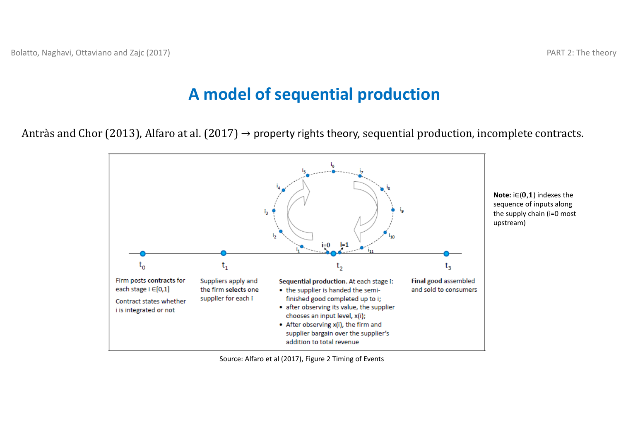#### **A model of sequential production**

Antràs and Chor (2013), Alfaro at al. (2017)  $\rightarrow$  property rights theory, sequential production, incomplete contracts.



Source: Alfaro et al (2017), Figure 2 Timing of Events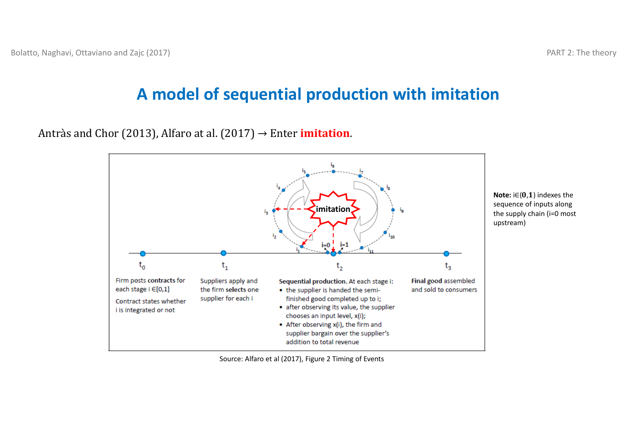## **A model of sequential production with imitation**

Antràs and Chor (2013), Alfaro at al. (2017)  $\rightarrow$  Enter **imitation**.



Source: Alfaro et al (2017), Figure 2 Timing of Events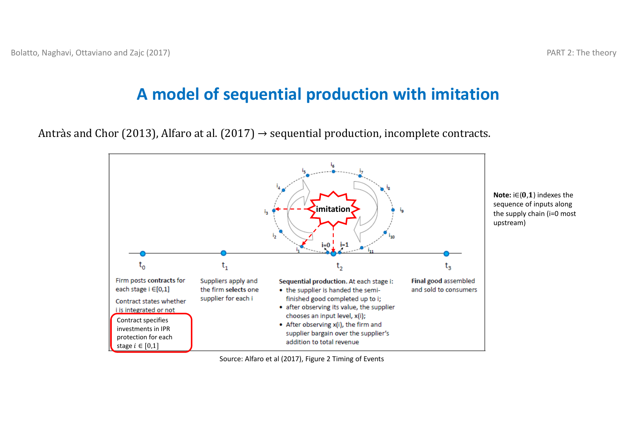#### **A model of sequential production with imitation**

Antràs and Chor (2013), Alfaro at al. (2017)  $\rightarrow$  sequential production, incomplete contracts.



Source: Alfaro et al (2017), Figure 2 Timing of Events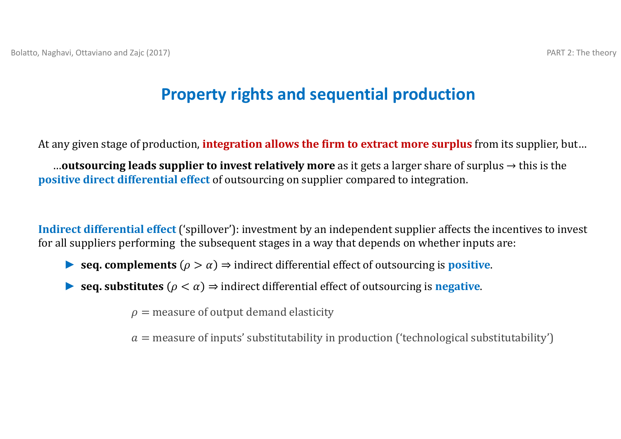## **Property rights and sequential production**

At any given stage of production, **integration allows the firm to extract more surplus** from its supplier, but...

**...outsourcing leads supplier to invest relatively more** as it gets a larger share of surplus  $\rightarrow$  this is the **positive direct differential effect** of outsourcing on supplier compared to integration.

**Indirect differential effect** ('spillover'): investment by an independent supplier affects the incentives to invest for all suppliers performing the subsequent stages in a way that depends on whether inputs are:

- **►** seq. **complements**  $(\rho > \alpha) \Rightarrow$  indirect differential effect of outsourcing is **positive**.
- **►** seq. substitutes  $(\rho < \alpha)$  ⇒ indirect differential effect of outsourcing is negative.

 $\rho$  = measure of output demand elasticity

 $a$  = measure of inputs' substitutability in production ('technological substitutability')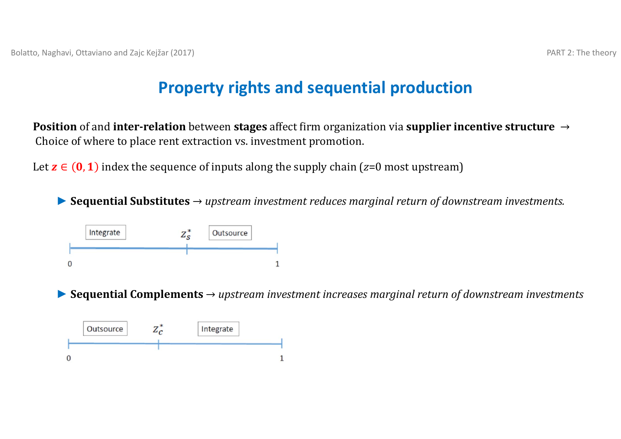#### **Property rights and sequential production**

**Position** of and **inter-relation** between **stages** affect firm organization via **supplier incentive structure** → Choice of where to place rent extraction vs. investment promotion.

Let  $\mathbf{z} \in (\mathbf{0},\mathbf{1})$  index the sequence of inputs along the supply chain ( $z$ =0 most upstream)

*►* **Sequential Substitutes** <sup>→</sup>*upstream investment reduces marginal return of downstream investments.*



*►* **Sequential Complements** <sup>→</sup>*upstream investment increases marginal return of downstream investments*

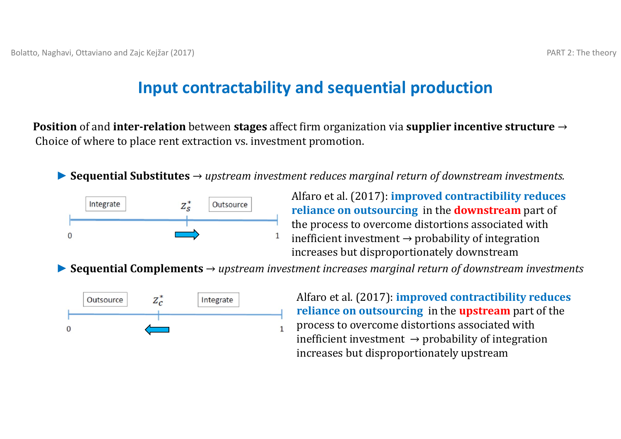#### **Input contractability and sequential production**

**Position** of and **inter-relation** between **stages** affect firm organization via **supplier incentive structure** → Choice of where to place rent extraction vs. investment promotion.

*►* **Sequential Substitutes** <sup>→</sup>*upstream investment reduces marginal return of downstream investments.*



Alfaro et al. (2017): **improved contractibility reduces reliance on outsourcing** in the **downstream** part of the process to overcome distortions associated with inefficient investment  $\rightarrow$  probability of integration increases but disproportionately downstream

*►* **Sequential Complements** <sup>→</sup>*upstream investment increases marginal return of downstream investments*



Alfaro et al. (2017): **improved contractibility reduces reliance on outsourcing** in the **upstream** part of the process to overcome distortions associated with inefficient investment  $\rightarrow$  probability of integration increases but disproportionately upstream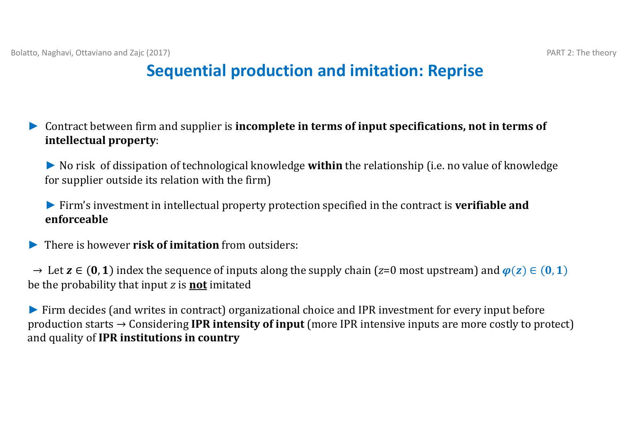- *►* Contract between firm and supplier is **incomplete in terms of input specifications, not in terms of intellectual property**:
	- ► No risk of dissipation of technological knowledge **within** the relationship (i.e. no value of knowledge for supplier outside its relation with the firm)

► Firm's investment in intellectual property protection specified in the contract is **verifiable and enforceable**

*►***There is however risk of imitation** from outsiders:

→ Let  $z \in (0,1)$  index the sequence of inputs along the supply chain (*z*=0 most upstream) and  $\varphi(z) \in (0,1)$ be the probability that input *z* is **not** imitated

► Firm decides (and writes in contract) organizational choice and IPR investment for every input before production starts → Considering IPR intensity of input (more IPR intensive inputs are more costly to protect) and quality of **IPR institutions in country**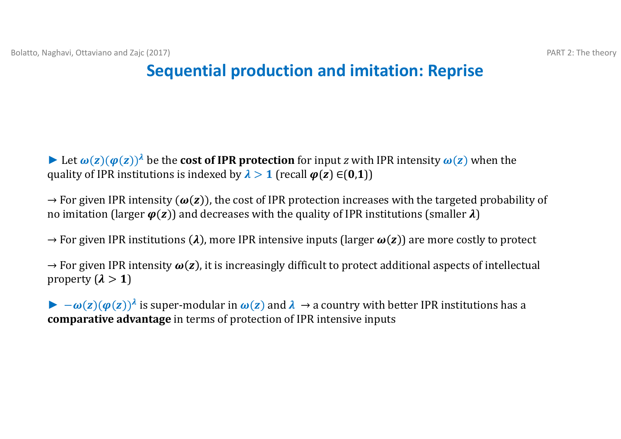► Let  $\omega(z)(\varphi(z))^{\lambda}$  be the **cost of IPR protection** for input *z* with IPR intensity  $\omega(z)$  when the quality of IPR institutions is indexed by  $\lambda > 1$  (recall  $\varphi(z) \in (0,1)$ )

 $\rightarrow$  For given IPR intensity  $(\omega(z))$ , the cost of IPR protection increases with the targeted probability of no imitation (larger  $\varphi(z)$ ) and decreases with the quality of IPR institutions (smaller  $\lambda$ )

 $\rightarrow$  For given IPR institutions ( $\lambda$ ), more IPR intensive inputs (larger  $\bm{\omega}(\bm{z})$ ) are more costly to protect

 $\rightarrow$  For given IPR intensity  $\omega(z)$ , it is increasingly difficult to protect additional aspects of intellectual property  $(\lambda > 1)$ 

 $\blacktriangleright -\omega(z)(\varphi(z))^{\lambda}$  is super-modular in  $\omega(z)$  and  $\lambda \to a$  country with better IPR institutions has a **comparative advantage** in terms of protection of IPR intensive inputs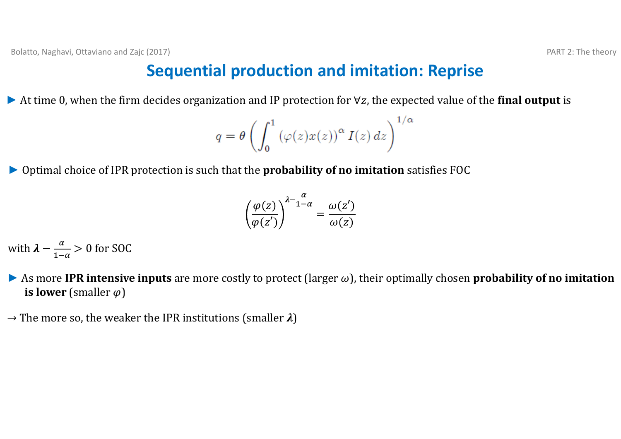► At time 0, when the firm decides organization and IP protection for  $\forall z$ , the expected value of the **final output** is

$$
q = \theta \left( \int_0^1 \left( \varphi(z) x(z) \right)^\alpha I(z) \, dz \right)^{1/2}
$$

 $\alpha$ 

▶ Optimal choice of IPR protection is such that the **probability of no imitation** satisfies FOC

$$
\left(\frac{\varphi(z)}{\varphi(z')}\right)^{\lambda - \frac{\alpha}{1 - \alpha}} = \frac{\omega(z')}{\omega(z)}
$$

with  $\lambda - \frac{\alpha}{1-\alpha} > 0$  for SOC

- $\blacktriangleright$  As more IPR intensive inputs are more costly to protect (larger  $\omega$ ), their optimally chosen probability of no imitation **is lower** (smaller  $\varphi$ )
- $\rightarrow$  The more so, the weaker the IPR institutions (smaller  $\lambda)$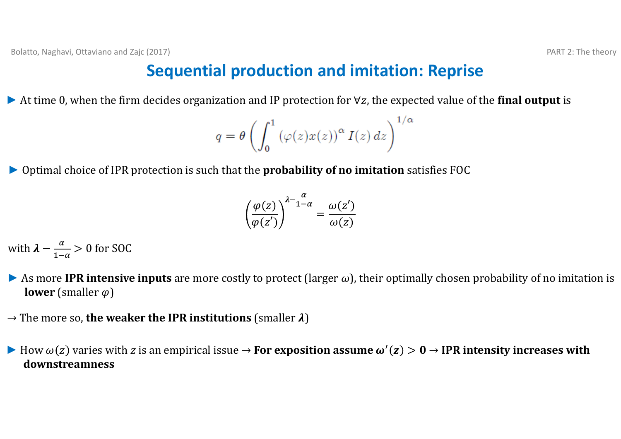► At time 0, when the firm decides organization and IP protection for  $\forall z$ , the expected value of the **final output** is

$$
q = \theta \left( \int_0^1 \left( \varphi(z) x(z) \right)^\alpha I(z) \, dz \right)^{1/\alpha}
$$

▶ Optimal choice of IPR protection is such that the **probability of no imitation** satisfies FOC

$$
\left(\frac{\varphi(z)}{\varphi(z')}\right)^{\lambda - \frac{\alpha}{1 - \alpha}} = \frac{\omega(z')}{\omega(z)}
$$

with  $\lambda - \frac{\alpha}{1-\alpha} > 0$  for SOC

- As more **IPR** intensive inputs are more costly to protect (larger  $\omega$ ), their optimally chosen probability of no imitation is **lower** (smaller  $\varphi$ )
- $\rightarrow$  The more so, **the weaker the IPR institutions** (smaller  $\lambda$ )
- $▶$  How  $ω(z)$  varies with *z* is an empirical issue  $\rightarrow$  For exposition assume  $ω'(z) > 0 \rightarrow$  IPR intensity increases with **downstreamness**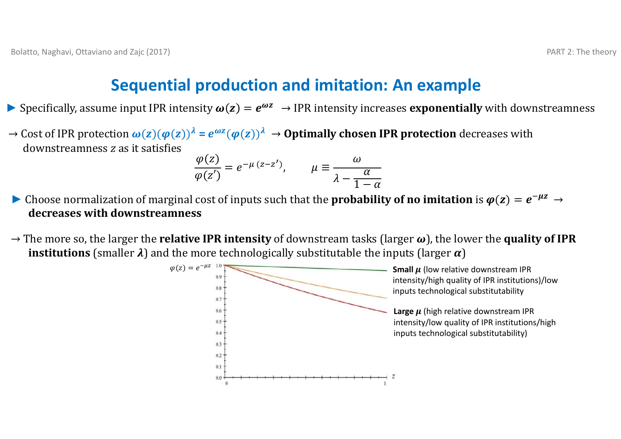#### **Sequential production and imitation: An example**

- **►** Specifically, assume input IPR intensity  $\omega(z) = e^{\omega z} \rightarrow$  IPR intensity increases **exponentially** with downstreamness
- $\to$  Cost of IPR protection  $\omega(z)(\varphi(z))^{\lambda} = e^{\omega z}(\varphi(z))^{\lambda} \to$  **Optimally chosen IPR protection** decreases with downstreamness *z* as it satisfies

$$
\frac{\varphi(z)}{\varphi(z')} = e^{-\mu (z - z')}, \qquad \mu \equiv \frac{\omega}{\lambda - \frac{\alpha}{1 - \alpha}}
$$

- $\blacktriangleright$  Choose normalization of marginal cost of inputs such that the **probability of no imitation** is  $\varphi(z) = e^{-\mu z} \to$ **decreases with downstreamness**
- $\rightarrow$  The more so, the larger the **relative IPR intensity** of downstream tasks (larger  $\omega$ ), the lower the **quality of IPR**  ${\bf in}$ stitutions (smaller  $\pmb{\lambda})$  and the more technologically substitutable the inputs (larger  $\pmb{\alpha})$

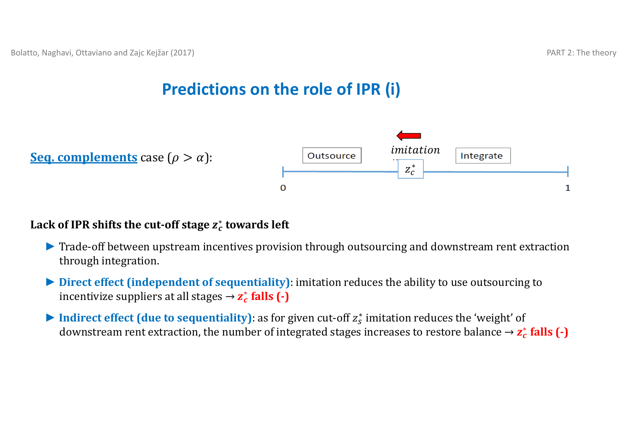## **Predictions on the role of IPR (i)**





#### **Lack of IPR shifts the cut‐off stage** ࢉࢠ <sup>∗</sup>**towards left**

- ▶ Trade-off between upstream incentives provision through outsourcing and downstream rent extraction through integration.
- ► **Direct effect (independent of sequentiality)**: imitation reduces the ability to use outsourcing to incentivize suppliers at all stages  $\rightarrow$   $z_c^*$  **falls**  $(\cdot)$
- $▶$  **Indirect effect (due to sequentiality)**: as for given cut-off  $z_s^*$  imitation reduces the 'weight' of downstream rent extraction, the number of integrated stages increases to restore balance  $\rightarrow$   $z_c^*$  falls  $(\cdot)$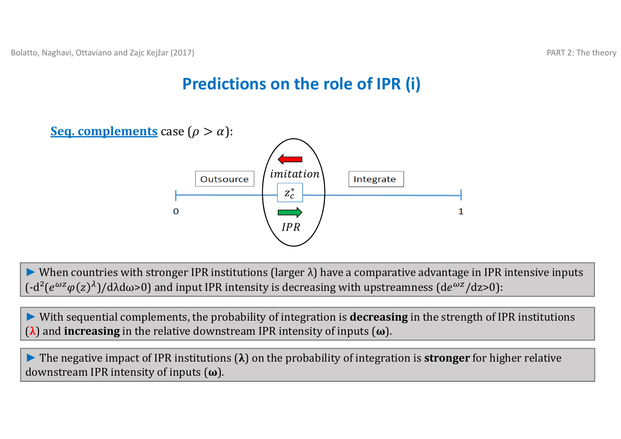## **Predictions on the role of IPR (i)**



► When countries with stronger IPR institutions (larger λ) have a comparative advantage in IPR intensive inputs  $(-d^2(e^{\omega z}\varphi(z)^{\lambda})/d\lambda d\omega$ >0) and input IPR intensity is decreasing with upstreamness (de<sup>ωz</sup>/dz>0):

► With sequential complements, the probability of integration is **decreasing** in the strength of IPR institutions (λ) and **increasing** in the relative downstream IPR intensity of inputs (ω).

**►** The negative impact of IPR institutions (λ) on the probability of integration is **stronger** for higher relative downstream IPR intensity of inputs (**ω**).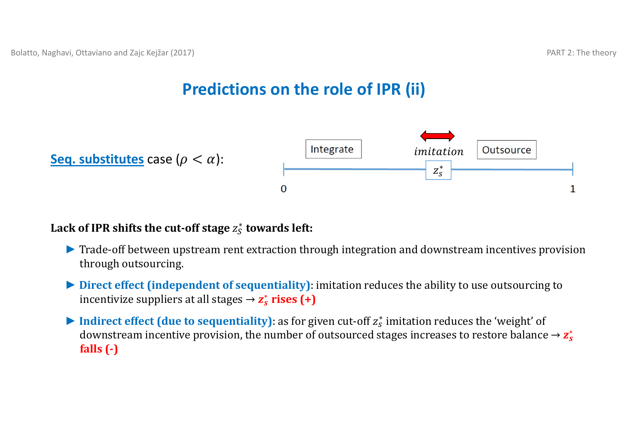# **Predictions on the role of IPR (ii)**





#### **Lack of IPR shifts the cut‐off stage** ݖௌ∗ **towards left:**

- ▶ Trade-off between upstream rent extraction through integration and downstream incentives provision through outsourcing.
- ▶ Direct effect (independent of sequentiality): imitation reduces the ability to use outsourcing to incentivize suppliers at all stages  $\rightarrow$  **z**<sup>\*</sup> **rises** (+)
- ► Indirect effect (due to sequentiality): as for given cut-off  $z_s^*$  imitation reduces the 'weight' of downstream incentive provision, the number of outsourced stages increases to restore balance  $\rightarrow$   $\mathbf{z}_s^*$ **falls (‐)**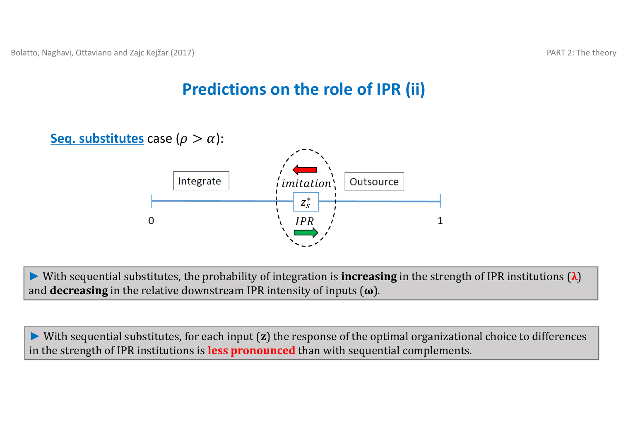# **Predictions on the role of IPR (ii)**



► With sequential substitutes, the probability of integration is **increasing** in the strength of IPR institutions (λ) and **decreasing** in the relative downstream IPR intensity of inputs  $(\omega)$ .

► With sequential substitutes, for each input (**z**) the response of the optimal organizational choice to differences in the strength of IPR institutions is **less pronounced** than with sequential complements.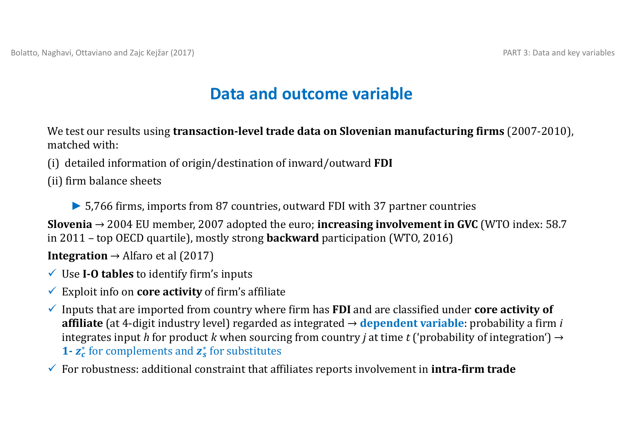## **Data and outcome variable**

We test our results using **transaction-level trade data on Slovenian manufacturing firms (2007-2010),** matched with:

- (i) detailed information of origin/destination of inward/outward **FDI**
- (ii) firm balance sheets
	- **►** 5,766 firms, imports from 87 countries, outward FDI with 37 partner countries

**Slovenia** → 2004 EU member, 2007 adopted the euro; **increasing involvement in GVC** (WTO index: 58.7 in 2011 – top OECD quartile), mostly strong **backward** participation (WTO, 2016)

**Integration**  $\rightarrow$  Alfaro et al (2017)

- Use **I‐O tables** to identify firm's inputs
- $\checkmark$  Exploit info on **core activity** of firm's affiliate
- $\checkmark$  Inputs that are imported from country where firm has **FDI** and are classified under **core activity of affiliate** (at 4-digit industry level) regarded as integrated → **dependent variable**: probability a firm *i* integrates input h for product k when sourcing from country *j* at time t ('probability of integration')  $\rightarrow$ **1** •  $\mathbf{z}_c^*$  for complements and  $\mathbf{z}_s^*$  for substitutes
- For robustness: additional constraint that affiliates reports involvement in **intra‐firm trade**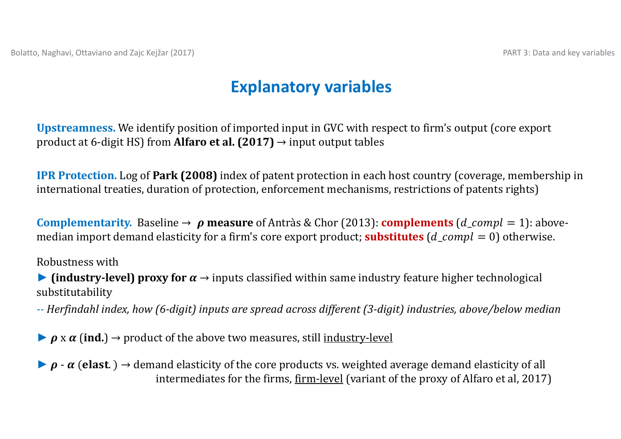### **Explanatory variables**

**Upstreamness.** We identify position of imported input in GVC with respect to firm's output (core export product at 6-digit HS) from **Alfaro et al.**  $(2017) \rightarrow$  input output tables

**IPR Protection.** Log of **Park (2008)** index of patent protection in each host country (coverage, membership in international treaties, duration of protection, enforcement mechanisms, restrictions of patents rights)

**Complementarity.** Baseline  $\rightarrow \rho$  measure of Antràs & Chor (2013): **complements** (*d\_compl* = 1): abovemedian import demand elasticity for a firm's core export product; **substitutes** ( $d$  comp $l = 0$ ) otherwise.

Robustness with

**• (industry-level) proxy for**  $\alpha \rightarrow$  **inputs classified within same industry feature higher technological** substitutability 

-- Herfindahl index, how (6-digit) inputs are spread across different (3-digit) industries, above/below median

 $\rho$  x  $\alpha$  (ind.)  $\rightarrow$  product of the above two measures, still <u>industry-level</u>

 $\rho$  -  $\alpha$  (elast.)  $\rightarrow$  demand elasticity of the core products vs. weighted average demand elasticity of all intermediates for the firms, firm-level (variant of the proxy of Alfaro et al, 2017)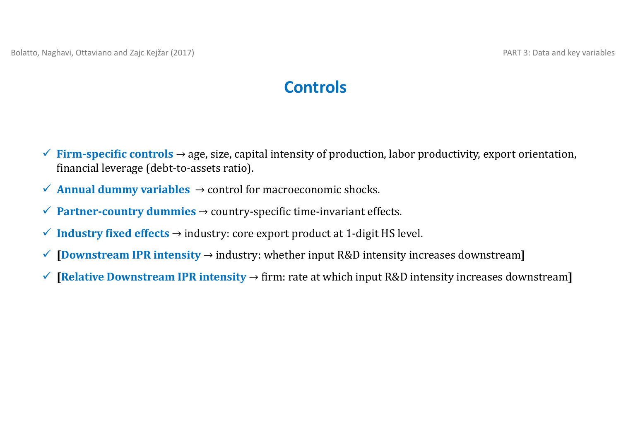### **Controls**

- $\checkmark$  **Firm-specific controls** → age, size, capital intensity of production, labor productivity, export orientation, financial leverage (debt-to-assets ratio).
- $\checkmark$  **Annual dummy variables**  $\to$  control for macroeconomic shocks.
- **Partner‐country dummies** → country‐specific time‐invariant effects.
- **Industry fixed effects** → industry: core export product at 1‐digit HS level.
- **[Downstream IPR intensity** <sup>→</sup> industry: whether input R&D intensity increases downstream**]**
- $\checkmark$  **[Relative Downstream IPR intensity**  $\to$  firm: rate at which input R&D intensity increases downstream]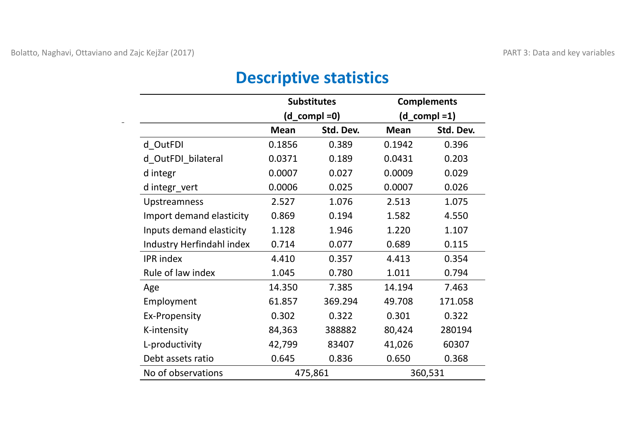#### **Substitutes Complements (d\_compl =0) (d\_compl =1) Mean Std. Dev. Mean Std. Dev.** d\_OutFDI 0.1856 0.389 0.1942 0.396 d\_OutFDI\_bilateral 0.0371 0.189 0.0431 0.203 d integr 0.0007 0.027 0.0009 0.029 d integr\_vert 0.0006 0.025 0.0007 0.026 Upstreamness 2.527 1.076 2.513 1.075 Import demand elasticity 0.869 0.194 1.582 4.550 Inputs demand elasticity 1.128 1.946 1.220 1.107 Industry Herfindahl index 0.714 0.077 0.689 0.115 IPR index 4.410 0.357 4.413 0.354 Rule of law index 1.045 0.780 1.011 0.794 Age 14.350 7.385 14.194 7.463 Employment 61.857 369.294 49.708 171.058 Ex‐Propensity 0.302 0.322 0.301 0.322 K‐intensity 84,363 388882 80,424 280194 L‐productivity 42,799 83407 41,026 60307 Debt assets ratio 0.645 0.836 0.650 0.3680.368 No of observations 475,861 360,531

#### **Descriptive statistics**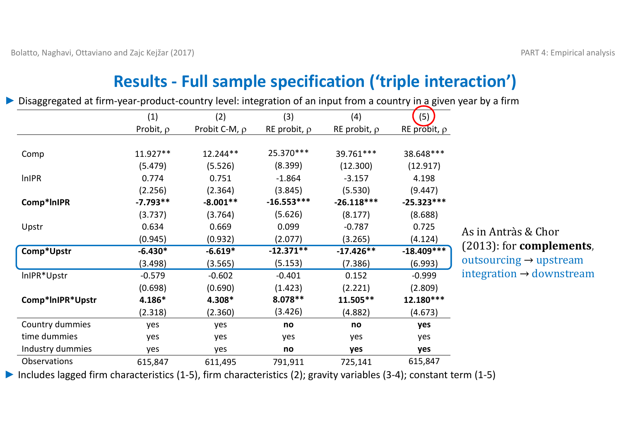# **Results ‐ Full sample specification ('triple interaction')**

|                  | (1)            | (2)                | (3)               | (4)               | (5)               |                                      |
|------------------|----------------|--------------------|-------------------|-------------------|-------------------|--------------------------------------|
|                  | Probit, $\rho$ | Probit C-M, $\rho$ | RE probit, $\rho$ | RE probit, $\rho$ | RE probit, $\rho$ |                                      |
| Comp             | 11.927**       | 12.244**           | 25.370 ***        | 39.761***         | 38.648***         |                                      |
|                  | (5.479)        | (5.526)            | (8.399)           | (12.300)          | (12.917)          |                                      |
| <b>InIPR</b>     | 0.774          | 0.751              | $-1.864$          | $-3.157$          | 4.198             |                                      |
|                  | (2.256)        | (2.364)            | (3.845)           | (5.530)           | (9.447)           |                                      |
| Comp*InIPR       | $-7.793**$     | $-8.001**$         | $-16.553***$      | $-26.118***$      | $-25.323***$      |                                      |
|                  | (3.737)        | (3.764)            | (5.626)           | (8.177)           | (8.688)           |                                      |
| Upstr            | 0.634          | 0.669              | 0.099             | $-0.787$          | 0.725             | As in Antràs & Chor                  |
|                  | (0.945)        | (0.932)            | (2.077)           | (3.265)           | (4.124)           |                                      |
| Comp*Upstr       | $-6.430*$      | $-6.619*$          | $-12.371**$       | $-17.426**$       | $-18.409***$      | $(2013)$ : for <b>complements</b> ,  |
|                  | (3.498)        | (3.565)            | (5.153)           | (7.386)           | (6.993)           | outsourcing $\rightarrow$ upstream   |
| InIPR*Upstr      | $-0.579$       | $-0.602$           | $-0.401$          | 0.152             | $-0.999$          | integration $\rightarrow$ downstream |
|                  | (0.698)        | (0.690)            | (1.423)           | (2.221)           | (2.809)           |                                      |
| Comp*InIPR*Upstr | 4.186*         | 4.308*             | $8.078**$         | $11.505**$        | 12.180***         |                                      |
|                  | (2.318)        | (2.360)            | (3.426)           | (4.882)           | (4.673)           |                                      |
| Country dummies  | yes            | yes                | no                | no                | yes               |                                      |
| time dummies     | yes            | yes                | yes               | yes               | yes               |                                      |
| Industry dummies | yes            | yes                | no                | yes               | yes               |                                      |
| Observations     | 615,847        | 611,495            | 791,911           | 725,141           | 615,847           |                                      |
|                  |                |                    |                   |                   |                   |                                      |

*►* Disaggregated at firm‐year‐product‐country level: integration of an input from <sup>a</sup> country in <sup>a</sup> given year by <sup>a</sup> firm

*►* Includes lagged firm characteristics (1‐5), firm characteristics (2); gravity variables (3‐4); constant term (1‐5)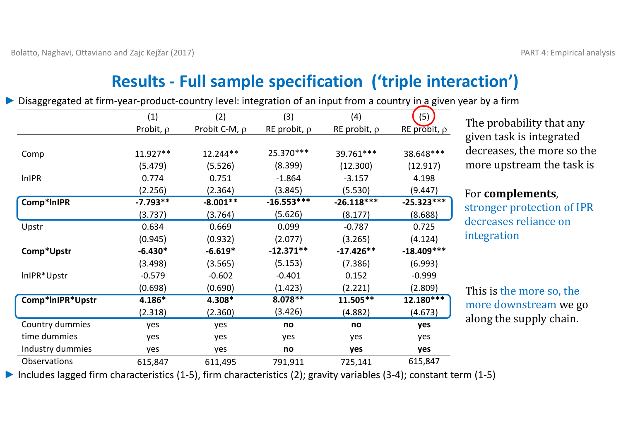# **Results ‐ Full sample specification ('triple interaction')**

(1)  $(2)$   $(3)$   $(4)$   $(5)$ Probit,  $\rho$  Probit C-M,  $\rho$  RE probit,  $\rho$  RE probit,  $\rho$  RE probit,  $\rho$ Comp 11.927\*\* 12.244\*\* 25.370\*\*\* 39.761\*\*\* 38.648\*\*\* (5.479) (5.526) (8.399) (12.300) (12.917) lnIPR 0.774 0.751 ‐1.864 ‐3.157 4.198  $(2.256)$   $(2.364)$   $(3.845)$   $(5.530)$   $(9.447)$ **Comp\*lnIPR ‐7.793\*\* ‐8.001\*\* ‐16.553\*\*\* ‐26.118\*\*\* ‐25.323\*\*\*** (3.737) (3.764) (5.626) (8.177) (8.688) Upstr 0.634 0.669 0.099 ‐0.787 0.725 (0.945) (0.932) (2.077) (3.265) (4.124) **Comp\*Upstr ‐6.430\* ‐6.619\* ‐12.371\*\* ‐17.426\*\* ‐18.409\*\*\*** (3.498) (3.565) (5.153) (7.386) (6.993) lnIPR\*Upstr ‐0.579 ‐0.602 ‐0.401 0.152 ‐0.999  $(0.698)$   $(0.690)$   $(1.423)$   $(2.221)$   $(2.809)$ **Comp\*lnIPR\*Upstr 4.186\* 4.308\* 8.078\*\* 11.505\*\* 12.180\*\*\*** (2.318) (2.360) (3.426) (4.882) (4.673) Country dummies yes yes **no no yes** time dummies dummies yes yes yes yes yes Industry dummies yes yes **no yes yes Observations** 615,847 611,495 791,911 725,141 615,847

*►* Disaggregated at firm‐year‐product‐country level: integration of an input from <sup>a</sup> country in <sup>a</sup> given year by <sup>a</sup> firm

The probability that any given task is integrated decreases, the more so the more upstream the task is

#### For **complements**,

stronger protection of IPR decreases reliance on integration 

This is the more so, the more downstream we go along the supply chain.

*►* Includes lagged firm characteristics (1‐5), firm characteristics (2); gravity variables (3‐4); constant term (1‐5)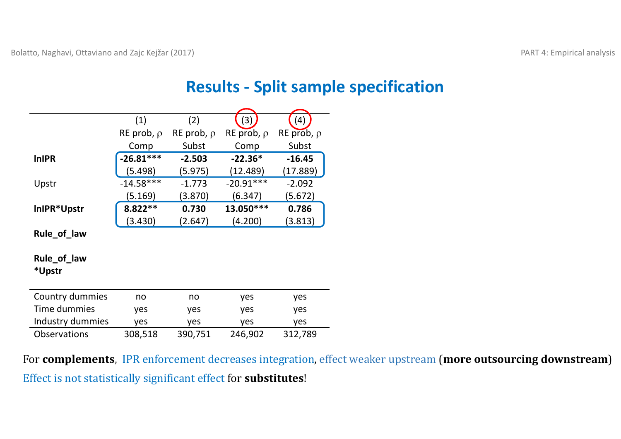#### **Results ‐ Split sample specification**

|                     | (1)             | (2)             | (3)             | (4)             |
|---------------------|-----------------|-----------------|-----------------|-----------------|
|                     | RE prob, $\rho$ | RE prob, $\rho$ | RE prob, $\rho$ | RE prob, $\rho$ |
|                     | Comp            | Subst           | Comp            | Subst           |
| <b>InIPR</b>        | $-26.81***$     | $-2.503$        | $-22.36*$       | $-16.45$        |
|                     | (5.498)         | (5.975)         | (12.489)        | (17.889)        |
| Upstr               | $-14.58***$     | $-1.773$        | $-20.91***$     | $-2.092$        |
|                     | (5.169)         | (3.870)         | (6.347)         | (5.672)         |
| InIPR*Upstr         | $8.822**$       | 0.730           | 13.050 ***      | 0.786           |
|                     | (3.430)         | (2.647)         | (4.200)         | (3.813)         |
| Rule_of_law         |                 |                 |                 |                 |
|                     |                 |                 |                 |                 |
| Rule_of_law         |                 |                 |                 |                 |
| *Upstr              |                 |                 |                 |                 |
|                     |                 |                 |                 |                 |
| Country dummies     | no              | no              | yes             | yes             |
| Time dummies        | yes             | yes             | yes             | yes             |
| Industry dummies    | yes             | yes             | yes             | yes             |
| <b>Observations</b> | 308,518         | 390,751         | 246,902         | 312,789         |

For **complements**, IPR enforcement decreases integration, effect weaker upstream (more outsourcing downstream) Effect is not statistically significant effect for **substitutes**!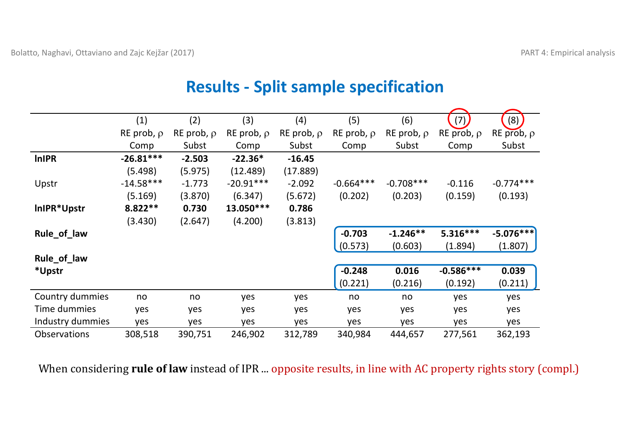|                     | (1)             | (2)             | (3)             | (4)             | (5)             | (6)             | (7)             | (8)             |
|---------------------|-----------------|-----------------|-----------------|-----------------|-----------------|-----------------|-----------------|-----------------|
|                     | RE prob, $\rho$ | RE prob, $\rho$ | RE prob, $\rho$ | RE prob, $\rho$ | RE prob, $\rho$ | RE prob, $\rho$ | RE prob, $\rho$ | RE prob, $\rho$ |
|                     | Comp            | Subst           | Comp            | Subst           | Comp            | Subst           | Comp            | Subst           |
| <b>InIPR</b>        | $-26.81***$     | $-2.503$        | $-22.36*$       | $-16.45$        |                 |                 |                 |                 |
|                     | (5.498)         | (5.975)         | (12.489)        | (17.889)        |                 |                 |                 |                 |
| Upstr               | $-14.58***$     | $-1.773$        | $-20.91***$     | $-2.092$        | $-0.664***$     | $-0.708***$     | $-0.116$        | $-0.774***$     |
|                     | (5.169)         | (3.870)         | (6.347)         | (5.672)         | (0.202)         | (0.203)         | (0.159)         | (0.193)         |
| InIPR*Upstr         | $8.822**$       | 0.730           | 13.050 ***      | 0.786           |                 |                 |                 |                 |
|                     | (3.430)         | (2.647)         | (4.200)         | (3.813)         |                 |                 |                 |                 |
| Rule_of_law         |                 |                 |                 |                 | $-0.703$        | $-1.246**$      | $5.316***$      | $-5.076***$     |
|                     |                 |                 |                 |                 | (0.573)         | (0.603)         | (1.894)         | (1.807)         |
| Rule_of_law         |                 |                 |                 |                 |                 |                 |                 |                 |
| *Upstr              |                 |                 |                 |                 | $-0.248$        | 0.016           | $-0.586***$     | 0.039           |
|                     |                 |                 |                 |                 | (0.221)         | (0.216)         | (0.192)         | (0.211)         |
| Country dummies     | no              | no              | yes             | yes             | no              | no              | yes             | yes             |
| Time dummies        | yes             | yes             | yes             | yes             | yes             | yes             | yes             | yes             |
| Industry dummies    | yes             | yes             | yes             | yes             | yes             | yes             | yes             | yes             |
| <b>Observations</b> | 308,518         | 390,751         | 246,902         | 312,789         | 340,984         | 444,657         | 277,561         | 362,193         |

### **Results ‐ Split sample specification**

When considering rule of law instead of IPR ... opposite results, in line with AC property rights story (compl.)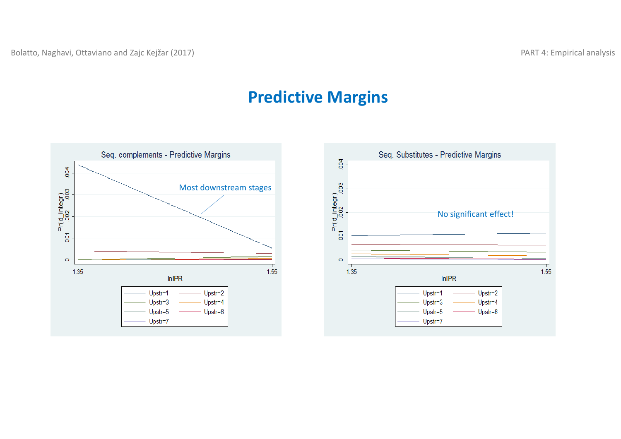#### **Predictive Margins**



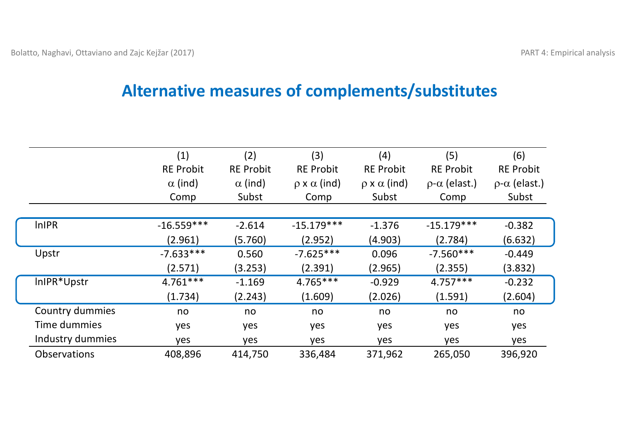#### **Alternative measures of complements/substitutes**

|                     | (1)              | (2)              | (3)                        | (4)                     | (5)                        | (6)                        |
|---------------------|------------------|------------------|----------------------------|-------------------------|----------------------------|----------------------------|
|                     | <b>RE Probit</b> | <b>RE Probit</b> | <b>RE Probit</b>           | <b>RE Probit</b>        | <b>RE Probit</b>           | <b>RE Probit</b>           |
|                     | $\alpha$ (ind)   | $\alpha$ (ind)   | $\rho \times \alpha$ (ind) | $\rho$ x $\alpha$ (ind) | $\rho$ - $\alpha$ (elast.) | $\rho$ - $\alpha$ (elast.) |
|                     | Comp             | Subst            | Comp                       | Subst                   | Comp                       | Subst                      |
|                     |                  |                  |                            |                         |                            |                            |
| <b>InIPR</b>        | $-16.559***$     | $-2.614$         | $-15.179***$               | $-1.376$                | $-15.179***$               | $-0.382$                   |
|                     | (2.961)          | (5.760)          | (2.952)                    | (4.903)                 | (2.784)                    | (6.632)                    |
| Upstr               | $-7.633***$      | 0.560            | $-7.625***$                | 0.096                   | $-7.560***$                | $-0.449$                   |
|                     | (2.571)          | (3.253)          | (2.391)                    | (2.965)                 | (2.355)                    | (3.832)                    |
| InIPR*Upstr         | $4.761***$       | $-1.169$         | $4.765***$                 | $-0.929$                | $4.757***$                 | $-0.232$                   |
|                     | (1.734)          | (2.243)          | (1.609)                    | (2.026)                 | (1.591)                    | (2.604)                    |
| Country dummies     | no               | no               | no                         | no                      | no                         | no                         |
| Time dummies        | yes              | yes              | yes                        | yes                     | yes                        | yes                        |
| Industry dummies    | yes              | yes              | yes                        | yes                     | yes                        | yes                        |
| <b>Observations</b> | 408,896          | 414,750          | 336,484                    | 371,962                 | 265,050                    | 396,920                    |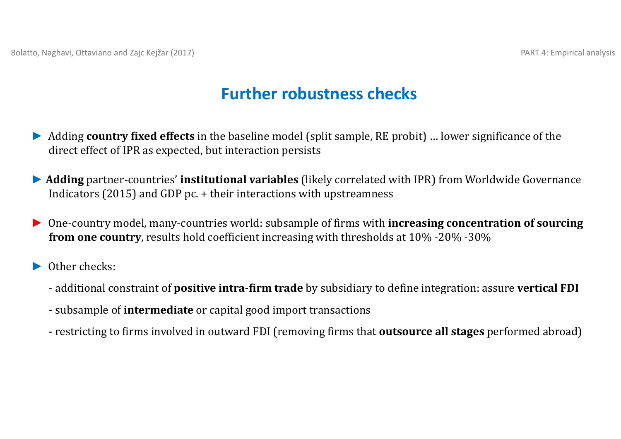### **Further robustness checks**

- *►*Adding **country fixed effects** in the baseline model (split sample, RE probit) ... lower significance of the direct effect of IPR as expected, but interaction persists
- ▶ Adding partner-countries' institutional variables (likely correlated with IPR) from Worldwide Governance Indicators (2015) and GDP pc.  $+$  their interactions with upstreamness
- ▶ One-country model, many-countries world: subsample of firms with **increasing concentration of sourcing from one country**, results hold coefficient increasing with thresholds at 10% -20% -30%
- *►* Other checks:
	- ‐ additional constraint of **positive intra‐firm trade** by subsidiary to define integration: assure **vertical FDI**
	- **-** subsample of **intermediate** or capital good import transactions
	- restricting to firms involved in outward FDI (removing firms that **outsource all stages** performed abroad)